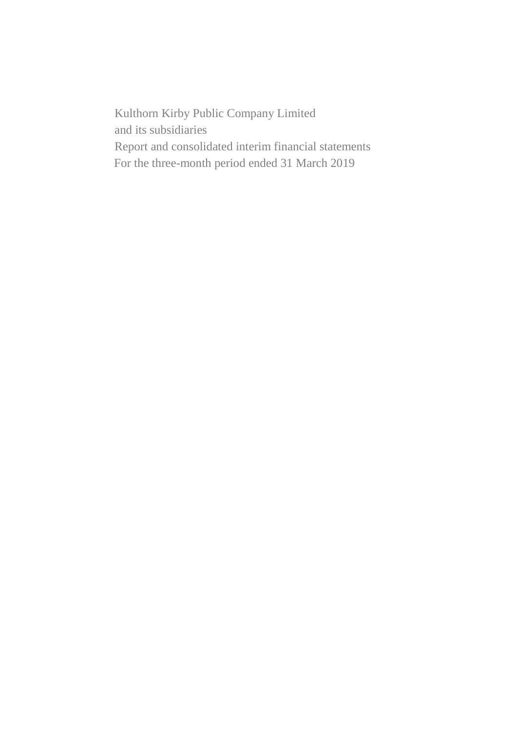Kulthorn Kirby Public Company Limited and its subsidiaries Report and consolidated interim financial statements For the three-month period ended 31 March 2019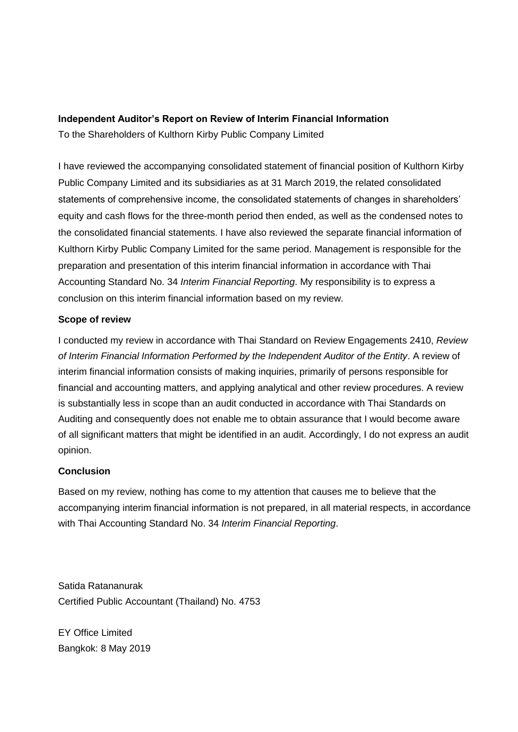# **Independent Auditor's Report on Review of Interim Financial Information**

To the Shareholders of Kulthorn Kirby Public Company Limited

I have reviewed the accompanying consolidated statement of financial position of Kulthorn Kirby Public Company Limited and its subsidiaries as at 31 March 2019, the related consolidated statements of comprehensive income, the consolidated statements of changes in shareholders' equity and cash flows for the three-month period then ended, as well as the condensed notes to the consolidated financial statements. I have also reviewed the separate financial information of Kulthorn Kirby Public Company Limited for the same period. Management is responsible for the preparation and presentation of this interim financial information in accordance with Thai Accounting Standard No. 34 *Interim Financial Reporting*. My responsibility is to express a conclusion on this interim financial information based on my review.

# **Scope of review**

I conducted my review in accordance with Thai Standard on Review Engagements 2410, *Review of Interim Financial Information Performed by the Independent Auditor of the Entity*. A review of interim financial information consists of making inquiries, primarily of persons responsible for financial and accounting matters, and applying analytical and other review procedures. A review is substantially less in scope than an audit conducted in accordance with Thai Standards on Auditing and consequently does not enable me to obtain assurance that I would become aware of all significant matters that might be identified in an audit. Accordingly, I do not express an audit opinion.

# **Conclusion**

Based on my review, nothing has come to my attention that causes me to believe that the accompanying interim financial information is not prepared, in all material respects, in accordance with Thai Accounting Standard No. 34 *Interim Financial Reporting*.

Satida Ratananurak Certified Public Accountant (Thailand) No. 4753

EY Office Limited Bangkok: 8 May 2019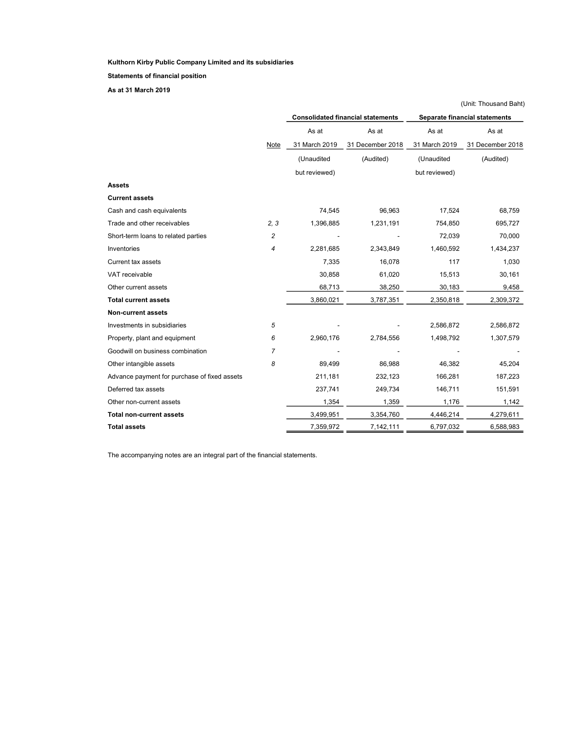Statements of financial position

As at 31 March 2019

|                                              |                |               |                                          |               | (Unit: Thousand Baht)         |
|----------------------------------------------|----------------|---------------|------------------------------------------|---------------|-------------------------------|
|                                              |                |               | <b>Consolidated financial statements</b> |               | Separate financial statements |
|                                              |                | As at         | As at                                    | As at         | As at                         |
|                                              | Note           | 31 March 2019 | 31 December 2018                         | 31 March 2019 | 31 December 2018              |
|                                              |                | (Unaudited    | (Audited)                                | (Unaudited    | (Audited)                     |
|                                              |                | but reviewed) |                                          | but reviewed) |                               |
| <b>Assets</b>                                |                |               |                                          |               |                               |
| <b>Current assets</b>                        |                |               |                                          |               |                               |
| Cash and cash equivalents                    |                | 74,545        | 96,963                                   | 17,524        | 68,759                        |
| Trade and other receivables                  | 2, 3           | 1,396,885     | 1,231,191                                | 754,850       | 695,727                       |
| Short-term loans to related parties          | 2              |               |                                          | 72,039        | 70,000                        |
| Inventories                                  | 4              | 2,281,685     | 2,343,849                                | 1,460,592     | 1,434,237                     |
| Current tax assets                           |                | 7,335         | 16,078                                   | 117           | 1,030                         |
| VAT receivable                               |                | 30,858        | 61,020                                   | 15,513        | 30,161                        |
| Other current assets                         |                | 68,713        | 38,250                                   | 30,183        | 9,458                         |
| <b>Total current assets</b>                  |                | 3,860,021     | 3,787,351                                | 2,350,818     | 2,309,372                     |
| <b>Non-current assets</b>                    |                |               |                                          |               |                               |
| Investments in subsidiaries                  | 5              |               |                                          | 2,586,872     | 2,586,872                     |
| Property, plant and equipment                | 6              | 2,960,176     | 2,784,556                                | 1,498,792     | 1,307,579                     |
| Goodwill on business combination             | $\overline{7}$ |               |                                          |               |                               |
| Other intangible assets                      | 8              | 89,499        | 86,988                                   | 46,382        | 45,204                        |
| Advance payment for purchase of fixed assets |                | 211,181       | 232,123                                  | 166,281       | 187,223                       |
| Deferred tax assets                          |                | 237,741       | 249,734                                  | 146,711       | 151,591                       |
| Other non-current assets                     |                | 1,354         | 1,359                                    | 1,176         | 1,142                         |
| Total non-current assets                     |                | 3,499,951     | 3,354,760                                | 4,446,214     | 4,279,611                     |
| <b>Total assets</b>                          |                | 7,359,972     | 7,142,111                                | 6,797,032     | 6,588,983                     |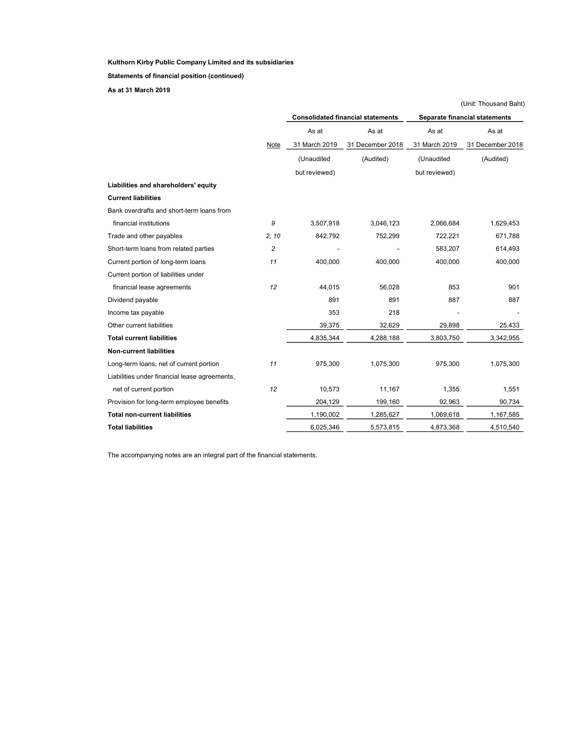Statements of financial position (continued)

As at 31 March 2019

|                                               |                |               |                                          |               | (Unit: Thousand Baht)         |
|-----------------------------------------------|----------------|---------------|------------------------------------------|---------------|-------------------------------|
|                                               |                |               | <b>Consolidated financial statements</b> |               | Separate financial statements |
|                                               |                | As at         | As at                                    | As at         | As at                         |
|                                               | Note           | 31 March 2019 | 31 December 2018                         | 31 March 2019 | 31 December 2018              |
|                                               |                | (Unaudited    | (Audited)                                | (Unaudited    | (Audited)                     |
|                                               |                | but reviewed) |                                          | but reviewed) |                               |
| Liabilities and shareholders' equity          |                |               |                                          |               |                               |
| <b>Current liabilities</b>                    |                |               |                                          |               |                               |
| Bank overdrafts and short-term loans from     |                |               |                                          |               |                               |
| financial institutions                        | 9              | 3,507,918     | 3,046,123                                | 2,066,684     | 1,629,453                     |
| Trade and other payables                      | 2, 10          | 842,792       | 752,299                                  | 722,221       | 671,788                       |
| Short-term loans from related parties         | $\overline{c}$ |               |                                          | 583,207       | 614,493                       |
| Current portion of long-term loans            | 11             | 400.000       | 400.000                                  | 400,000       | 400,000                       |
| Current portion of liabilities under          |                |               |                                          |               |                               |
| financial lease agreements                    | 12             | 44,015        | 56,028                                   | 853           | 901                           |
| Dividend payable                              |                | 891           | 891                                      | 887           | 887                           |
| Income tax payable                            |                | 353           | 218                                      |               |                               |
| Other current liabilities                     |                | 39,375        | 32,629                                   | 29,898        | 25,433                        |
| <b>Total current liabilities</b>              |                | 4,835,344     | 4,288,188                                | 3,803,750     | 3,342,955                     |
| <b>Non-current liabilities</b>                |                |               |                                          |               |                               |
| Long-term loans, net of current portion       | 11             | 975,300       | 1,075,300                                | 975,300       | 1,075,300                     |
| Liabilities under financial lease agreements, |                |               |                                          |               |                               |
| net of current portion                        | 12             | 10,573        | 11,167                                   | 1,355         | 1,551                         |
| Provision for long-term employee benefits     |                | 204,129       | 199,160                                  | 92,963        | 90,734                        |
| <b>Total non-current liabilities</b>          |                | 1,190,002     | 1,285,627                                | 1,069,618     | 1,167,585                     |
| <b>Total liabilities</b>                      |                | 6,025,346     | 5,573,815                                | 4,873,368     | 4,510,540                     |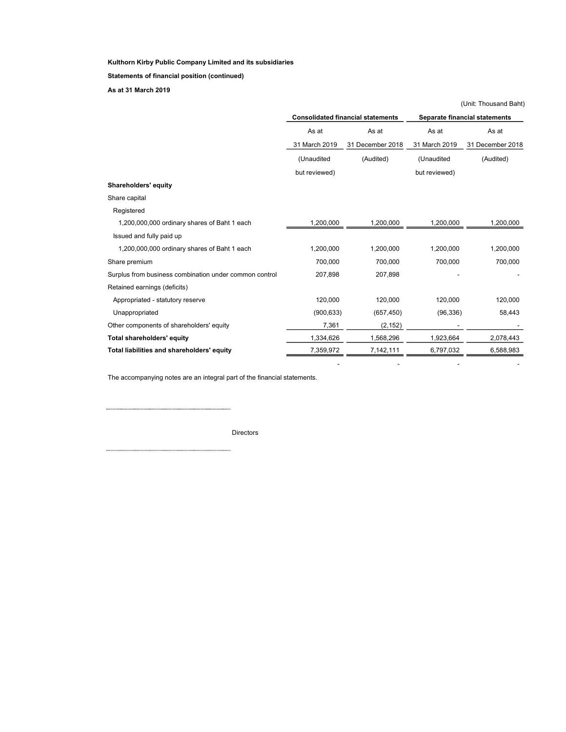Statements of financial position (continued)

As at 31 March 2019

|                                                        |               |                                          |               | (Unit: Thousand Baht)         |
|--------------------------------------------------------|---------------|------------------------------------------|---------------|-------------------------------|
|                                                        |               | <b>Consolidated financial statements</b> |               | Separate financial statements |
|                                                        | As at         | As at                                    | As at         | As at                         |
|                                                        | 31 March 2019 | 31 December 2018                         | 31 March 2019 | 31 December 2018              |
|                                                        | (Unaudited    | (Audited)                                | (Unaudited    | (Audited)                     |
|                                                        | but reviewed) |                                          | but reviewed) |                               |
| Shareholders' equity                                   |               |                                          |               |                               |
| Share capital                                          |               |                                          |               |                               |
| Registered                                             |               |                                          |               |                               |
| 1,200,000,000 ordinary shares of Baht 1 each           | 1,200,000     | 1,200,000                                | 1,200,000     | 1,200,000                     |
| Issued and fully paid up                               |               |                                          |               |                               |
| 1,200,000,000 ordinary shares of Baht 1 each           | 1,200,000     | 1,200,000                                | 1,200,000     | 1,200,000                     |
| Share premium                                          | 700,000       | 700,000                                  | 700,000       | 700,000                       |
| Surplus from business combination under common control | 207,898       | 207,898                                  |               |                               |
| Retained earnings (deficits)                           |               |                                          |               |                               |
| Appropriated - statutory reserve                       | 120,000       | 120,000                                  | 120,000       | 120,000                       |
| Unappropriated                                         | (900, 633)    | (657, 450)                               | (96, 336)     | 58,443                        |
| Other components of shareholders' equity               | 7,361         | (2, 152)                                 |               |                               |
| Total shareholders' equity                             | 1,334,626     | 1,568,296                                | 1,923,664     | 2,078,443                     |
| Total liabilities and shareholders' equity             | 7,359,972     | 7,142,111                                | 6,797,032     | 6,588,983                     |

- - - -

The accompanying notes are an integral part of the financial statements.

......... . . . . . . . . . . . Directors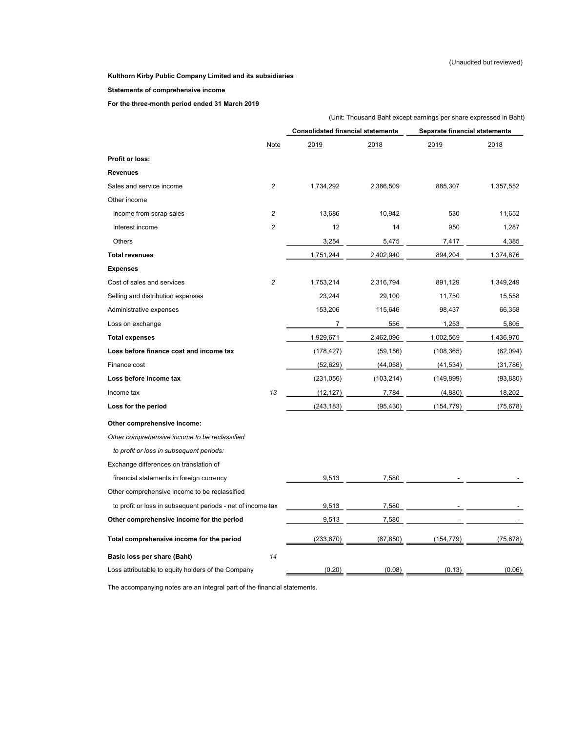#### Statements of comprehensive income

For the three-month period ended 31 March 2019

|                                                             |                |                                          |            | (Unit: Thousand Baht except earnings per share expressed in Baht) |           |
|-------------------------------------------------------------|----------------|------------------------------------------|------------|-------------------------------------------------------------------|-----------|
|                                                             |                | <b>Consolidated financial statements</b> |            | Separate financial statements                                     |           |
|                                                             | Note           | 2019                                     | 2018       | 2019                                                              | 2018      |
| <b>Profit or loss:</b>                                      |                |                                          |            |                                                                   |           |
| <b>Revenues</b>                                             |                |                                          |            |                                                                   |           |
| Sales and service income                                    | $\overline{c}$ | 1,734,292                                | 2,386,509  | 885,307                                                           | 1,357,552 |
| Other income                                                |                |                                          |            |                                                                   |           |
| Income from scrap sales                                     | $\overline{c}$ | 13,686                                   | 10,942     | 530                                                               | 11,652    |
| Interest income                                             | $\overline{c}$ | 12                                       | 14         | 950                                                               | 1,287     |
| Others                                                      |                | 3,254                                    | 5,475      | 7,417                                                             | 4,385     |
| <b>Total revenues</b>                                       |                | 1,751,244                                | 2,402,940  | 894,204                                                           | 1,374,876 |
| <b>Expenses</b>                                             |                |                                          |            |                                                                   |           |
| Cost of sales and services                                  | $\overline{c}$ | 1,753,214                                | 2,316,794  | 891,129                                                           | 1,349,249 |
| Selling and distribution expenses                           |                | 23,244                                   | 29,100     | 11,750                                                            | 15,558    |
| Administrative expenses                                     |                | 153,206                                  | 115,646    | 98,437                                                            | 66,358    |
| Loss on exchange                                            |                | 7                                        | 556        | 1,253                                                             | 5,805     |
| <b>Total expenses</b>                                       |                | 1,929,671                                | 2,462,096  | 1,002,569                                                         | 1,436,970 |
| Loss before finance cost and income tax                     |                | (178, 427)                               | (59, 156)  | (108, 365)                                                        | (62,094)  |
| Finance cost                                                |                | (52, 629)                                | (44, 058)  | (41, 534)                                                         | (31, 786) |
| Loss before income tax                                      |                | (231,056)                                | (103, 214) | (149, 899)                                                        | (93, 880) |
| Income tax                                                  | 13             | (12, 127)                                | 7,784      | (4,880)                                                           | 18,202    |
| Loss for the period                                         |                | (243, 183)                               | (95, 430)  | (154, 779)                                                        | (75, 678) |
| Other comprehensive income:                                 |                |                                          |            |                                                                   |           |
| Other comprehensive income to be reclassified               |                |                                          |            |                                                                   |           |
| to profit or loss in subsequent periods:                    |                |                                          |            |                                                                   |           |
| Exchange differences on translation of                      |                |                                          |            |                                                                   |           |
| financial statements in foreign currency                    |                | 9,513                                    | 7,580      |                                                                   |           |
| Other comprehensive income to be reclassified               |                |                                          |            |                                                                   |           |
| to profit or loss in subsequent periods - net of income tax |                | 9,513                                    | 7,580      |                                                                   |           |
| Other comprehensive income for the period                   |                | 9,513                                    | 7,580      |                                                                   |           |
| Total comprehensive income for the period                   |                | (233, 670)                               | (87, 850)  | (154.779)                                                         | (75,678)  |
| Basic loss per share (Baht)                                 | 14             |                                          |            |                                                                   |           |
| Loss attributable to equity holders of the Company          |                | (0.20)                                   | (0.08)     | (0.13)                                                            | (0.06)    |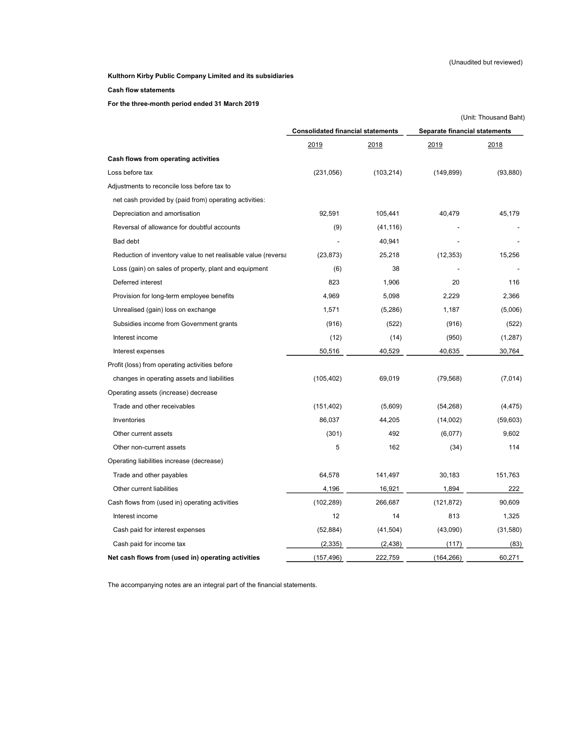#### Cash flow statements

For the three-month period ended 31 March 2019

|                                                               |                                          |            |                               | (Unit: Thousand Baht) |
|---------------------------------------------------------------|------------------------------------------|------------|-------------------------------|-----------------------|
|                                                               | <b>Consolidated financial statements</b> |            | Separate financial statements |                       |
|                                                               | 2019                                     | 2018       | 2019                          | 2018                  |
| Cash flows from operating activities                          |                                          |            |                               |                       |
| Loss before tax                                               | (231, 056)                               | (103, 214) | (149, 899)                    | (93, 880)             |
| Adjustments to reconcile loss before tax to                   |                                          |            |                               |                       |
| net cash provided by (paid from) operating activities:        |                                          |            |                               |                       |
| Depreciation and amortisation                                 | 92,591                                   | 105,441    | 40,479                        | 45,179                |
| Reversal of allowance for doubtful accounts                   | (9)                                      | (41, 116)  |                               |                       |
| Bad debt                                                      |                                          | 40,941     |                               |                       |
| Reduction of inventory value to net realisable value (reversa | (23, 873)                                | 25,218     | (12, 353)                     | 15,256                |
| Loss (gain) on sales of property, plant and equipment         | (6)                                      | 38         |                               |                       |
| Deferred interest                                             | 823                                      | 1,906      | 20                            | 116                   |
| Provision for long-term employee benefits                     | 4,969                                    | 5,098      | 2,229                         | 2,366                 |
| Unrealised (gain) loss on exchange                            | 1,571                                    | (5,286)    | 1,187                         | (5,006)               |
| Subsidies income from Government grants                       | (916)                                    | (522)      | (916)                         | (522)                 |
| Interest income                                               | (12)                                     | (14)       | (950)                         | (1,287)               |
| Interest expenses                                             | 50,516                                   | 40,529     | 40,635                        | 30,764                |
| Profit (loss) from operating activities before                |                                          |            |                               |                       |
| changes in operating assets and liabilities                   | (105, 402)                               | 69,019     | (79, 568)                     | (7,014)               |
| Operating assets (increase) decrease                          |                                          |            |                               |                       |
| Trade and other receivables                                   | (151, 402)                               | (5,609)    | (54, 268)                     | (4, 475)              |
| Inventories                                                   | 86,037                                   | 44,205     | (14,002)                      | (59, 603)             |
| Other current assets                                          | (301)                                    | 492        | (6,077)                       | 9,602                 |
| Other non-current assets                                      | 5                                        | 162        | (34)                          | 114                   |
| Operating liabilities increase (decrease)                     |                                          |            |                               |                       |
| Trade and other payables                                      | 64,578                                   | 141,497    | 30,183                        | 151,763               |
| Other current liabilities                                     | 4,196                                    | 16,921     | 1,894                         | 222                   |
| Cash flows from (used in) operating activities                | (102, 289)                               | 266,687    | (121, 872)                    | 90,609                |
| Interest income                                               | 12                                       | 14         | 813                           | 1,325                 |
| Cash paid for interest expenses                               | (52, 884)                                | (41, 504)  | (43,090)                      | (31, 580)             |
| Cash paid for income tax                                      | (2, 335)                                 | (2, 438)   | (117)                         | (83)                  |
| Net cash flows from (used in) operating activities            | (157, 496)                               | 222,759    | (164, 266)                    | 60,271                |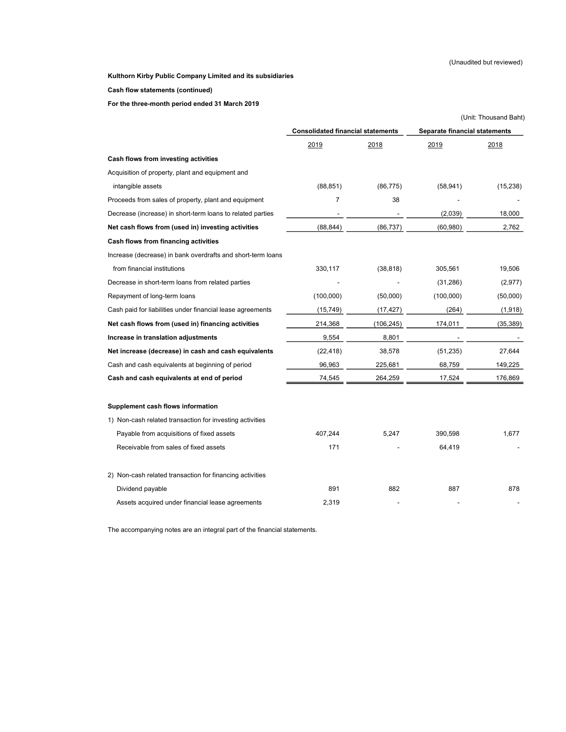#### Cash flow statements (continued)

For the three-month period ended 31 March 2019

|                                                             |                                          |              |                               | (Unit: Thousand Baht) |
|-------------------------------------------------------------|------------------------------------------|--------------|-------------------------------|-----------------------|
|                                                             | <b>Consolidated financial statements</b> |              | Separate financial statements |                       |
|                                                             | <u> 2019</u>                             | <u> 2018</u> | 2019                          | <u>2018</u>           |
| Cash flows from investing activities                        |                                          |              |                               |                       |
| Acquisition of property, plant and equipment and            |                                          |              |                               |                       |
| intangible assets                                           | (88, 851)                                | (86, 775)    | (58, 941)                     | (15, 238)             |
| Proceeds from sales of property, plant and equipment        | $\overline{7}$                           | 38           |                               |                       |
| Decrease (increase) in short-term loans to related parties  |                                          |              | (2,039)                       | 18,000                |
| Net cash flows from (used in) investing activities          | (88, 844)                                | (86, 737)    | (60, 980)                     | 2,762                 |
| Cash flows from financing activities                        |                                          |              |                               |                       |
| Increase (decrease) in bank overdrafts and short-term loans |                                          |              |                               |                       |
| from financial institutions                                 | 330,117                                  | (38, 818)    | 305,561                       | 19,506                |
| Decrease in short-term loans from related parties           |                                          |              | (31, 286)                     | (2,977)               |
| Repayment of long-term loans                                | (100,000)                                | (50,000)     | (100,000)                     | (50,000)              |
| Cash paid for liabilities under financial lease agreements  | (15, 749)                                | (17, 427)    | (264)                         | (1,918)               |
| Net cash flows from (used in) financing activities          | 214,368                                  | (106, 245)   | 174,011                       | (35, 389)             |
| Increase in translation adjustments                         | 9,554                                    | 8,801        |                               |                       |
| Net increase (decrease) in cash and cash equivalents        | (22, 418)                                | 38,578       | (51, 235)                     | 27,644                |
| Cash and cash equivalents at beginning of period            | 96,963                                   | 225,681      | 68,759                        | 149,225               |
| Cash and cash equivalents at end of period                  | 74,545                                   | 264,259      | 17,524                        | 176,869               |
| Supplement cash flows information                           |                                          |              |                               |                       |
| 1) Non-cash related transaction for investing activities    |                                          |              |                               |                       |
| Payable from acquisitions of fixed assets                   | 407,244                                  | 5,247        | 390,598                       | 1,677                 |
| Receivable from sales of fixed assets                       | 171                                      |              | 64,419                        |                       |
| 2) Non-cash related transaction for financing activities    |                                          |              |                               |                       |
| Dividend payable                                            | 891                                      | 882          | 887                           | 878                   |
| Assets acquired under financial lease agreements            | 2,319                                    |              |                               |                       |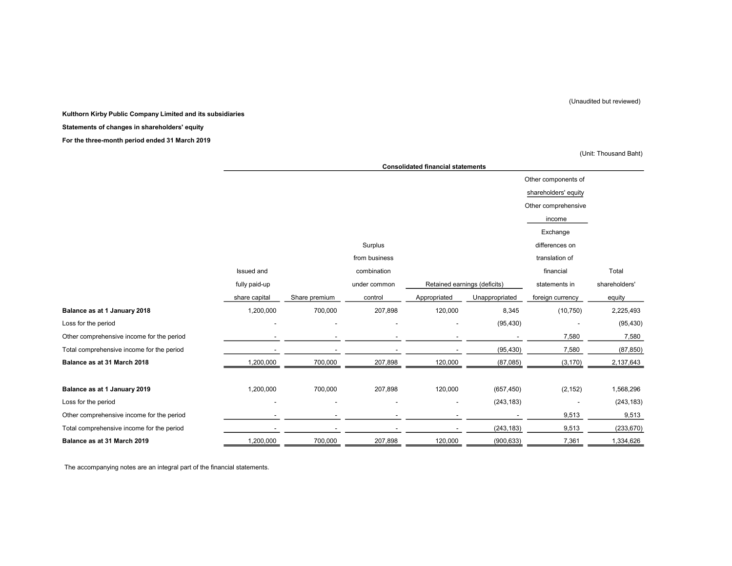#### (Unaudited but reviewed)

#### Kulthorn Kirby Public Company Limited and its subsidiaries

#### Statements of changes in shareholders' equity

For the three-month period ended 31 March 2019

(Unit: Thousand Baht)

|                                           |               | <b>Consolidated financial statements</b> |               |              |                              |                      |               |
|-------------------------------------------|---------------|------------------------------------------|---------------|--------------|------------------------------|----------------------|---------------|
|                                           |               |                                          |               |              |                              | Other components of  |               |
|                                           |               |                                          |               |              |                              | shareholders' equity |               |
|                                           |               |                                          |               |              |                              | Other comprehensive  |               |
|                                           |               |                                          |               |              |                              | income               |               |
|                                           |               |                                          |               |              |                              | Exchange             |               |
|                                           |               |                                          | Surplus       |              |                              | differences on       |               |
|                                           |               |                                          | from business |              |                              | translation of       |               |
|                                           | Issued and    |                                          | combination   |              |                              | financial            | Total         |
|                                           | fully paid-up |                                          | under common  |              | Retained earnings (deficits) | statements in        | shareholders' |
|                                           | share capital | Share premium                            | control       | Appropriated | Unappropriated               | foreign currency     | equity        |
| Balance as at 1 January 2018              | 1,200,000     | 700,000                                  | 207,898       | 120,000      | 8,345                        | (10, 750)            | 2,225,493     |
| Loss for the period                       |               |                                          |               |              | (95, 430)                    |                      | (95, 430)     |
| Other comprehensive income for the period |               |                                          |               |              |                              | 7,580                | 7,580         |
| Total comprehensive income for the period |               |                                          |               |              | (95, 430)                    | 7,580                | (87, 850)     |
| Balance as at 31 March 2018               | 1,200,000     | 700,000                                  | 207,898       | 120,000      | (87,085)                     | (3, 170)             | 2,137,643     |
|                                           |               |                                          |               |              |                              |                      |               |
| Balance as at 1 January 2019              | 1,200,000     | 700,000                                  | 207,898       | 120,000      | (657, 450)                   | (2, 152)             | 1,568,296     |
| Loss for the period                       |               |                                          |               |              | (243, 183)                   |                      | (243, 183)    |
| Other comprehensive income for the period |               |                                          |               |              |                              | 9,513                | 9,513         |
| Total comprehensive income for the period |               |                                          |               |              | (243, 183)                   | 9,513                | (233, 670)    |
| Balance as at 31 March 2019               | 1,200,000     | 700,000                                  | 207,898       | 120,000      | (900, 633)                   | 7,361                | 1,334,626     |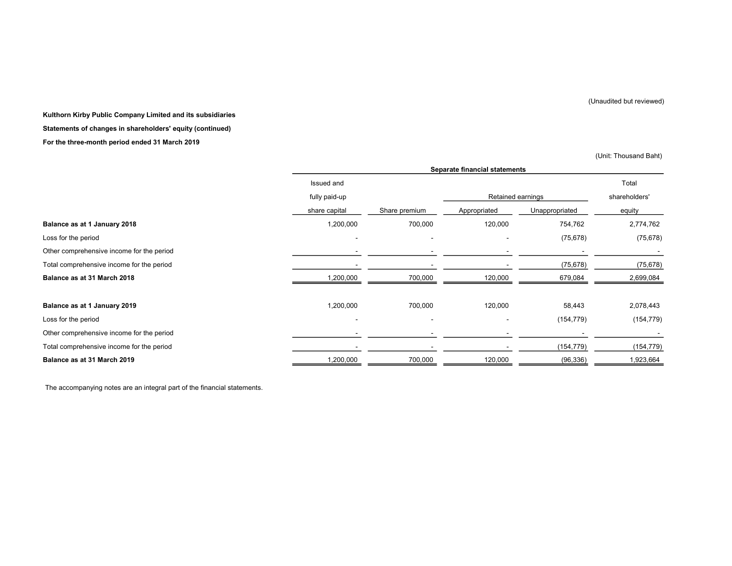(Unaudited but reviewed)

#### Kulthorn Kirby Public Company Limited and its subsidiaries

#### Statements of changes in shareholders' equity (continued)

#### For the three-month period ended 31 March 2019

(Unit: Thousand Baht)

|                                           |               | Separate financial statements |                   |                |               |  |  |
|-------------------------------------------|---------------|-------------------------------|-------------------|----------------|---------------|--|--|
|                                           | Issued and    |                               |                   |                | Total         |  |  |
|                                           | fully paid-up |                               | Retained earnings |                | shareholders' |  |  |
|                                           | share capital | Share premium                 | Appropriated      | Unappropriated | equity        |  |  |
| Balance as at 1 January 2018              | 1,200,000     | 700,000                       | 120,000           | 754,762        | 2,774,762     |  |  |
| Loss for the period                       |               | $\overline{\phantom{a}}$      |                   | (75, 678)      | (75, 678)     |  |  |
| Other comprehensive income for the period |               |                               |                   |                |               |  |  |
| Total comprehensive income for the period |               |                               |                   | (75, 678)      | (75, 678)     |  |  |
| Balance as at 31 March 2018               | 1,200,000     | 700,000                       | 120,000           | 679,084        | 2,699,084     |  |  |
|                                           |               |                               |                   |                |               |  |  |
| Balance as at 1 January 2019              | 1,200,000     | 700,000                       | 120,000           | 58,443         | 2,078,443     |  |  |
| Loss for the period                       |               |                               |                   | (154, 779)     | (154, 779)    |  |  |
| Other comprehensive income for the period |               |                               |                   |                |               |  |  |
| Total comprehensive income for the period |               |                               |                   | (154, 779)     | (154, 779)    |  |  |
| Balance as at 31 March 2019               | 1,200,000     | 700,000                       | 120,000           | (96, 336)      | 1,923,664     |  |  |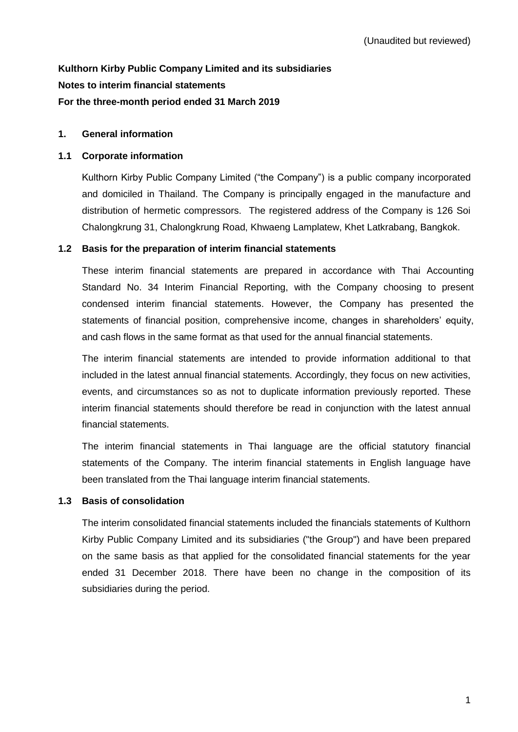# **Kulthorn Kirby Public Company Limited and its subsidiaries Notes to interim financial statements For the three-month period ended 31 March 2019**

#### **1. General information**

#### **1.1 Corporate information**

Kulthorn Kirby Public Company Limited ("the Company") is a public company incorporated and domiciled in Thailand. The Company is principally engaged in the manufacture and distribution of hermetic compressors. The registered address of the Company is 126 Soi Chalongkrung 31, Chalongkrung Road, Khwaeng Lamplatew, Khet Latkrabang, Bangkok.

# **1.2 Basis for the preparation of interim financial statements**

These interim financial statements are prepared in accordance with Thai Accounting Standard No. 34 Interim Financial Reporting, with the Company choosing to present condensed interim financial statements. However, the Company has presented the statements of financial position, comprehensive income, changes in shareholders' equity, and cash flows in the same format as that used for the annual financial statements.

The interim financial statements are intended to provide information additional to that included in the latest annual financial statements. Accordingly, they focus on new activities, events, and circumstances so as not to duplicate information previously reported. These interim financial statements should therefore be read in conjunction with the latest annual financial statements.

The interim financial statements in Thai language are the official statutory financial statements of the Company. The interim financial statements in English language have been translated from the Thai language interim financial statements.

#### **1.3 Basis of consolidation**

The interim consolidated financial statements included the financials statements of Kulthorn Kirby Public Company Limited and its subsidiaries ("the Group") and have been prepared on the same basis as that applied for the consolidated financial statements for the year ended 31 December 2018. There have been no change in the composition of its subsidiaries during the period.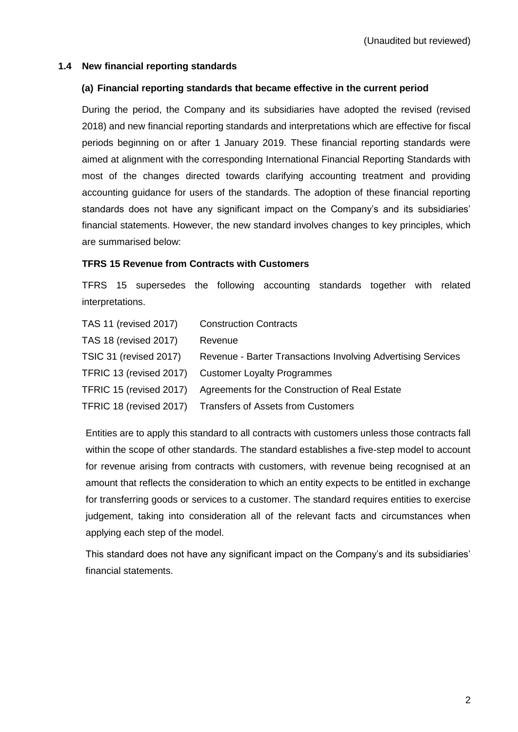#### **1.4 New financial reporting standards**

#### **(a) Financial reporting standards that became effective in the current period**

During the period, the Company and its subsidiaries have adopted the revised (revised 2018) and new financial reporting standards and interpretations which are effective for fiscal periods beginning on or after 1 January 2019. These financial reporting standards were aimed at alignment with the corresponding International Financial Reporting Standards with most of the changes directed towards clarifying accounting treatment and providing accounting guidance for users of the standards. The adoption of these financial reporting standards does not have any significant impact on the Company's and its subsidiaries' financial statements. However, the new standard involves changes to key principles, which are summarised below:

#### **TFRS 15 Revenue from Contracts with Customers**

TFRS 15 supersedes the following accounting standards together with related interpretations.

| <b>TAS 11 (revised 2017)</b> | <b>Construction Contracts</b>                                |
|------------------------------|--------------------------------------------------------------|
| <b>TAS 18 (revised 2017)</b> | Revenue                                                      |
| TSIC 31 (revised 2017)       | Revenue - Barter Transactions Involving Advertising Services |
| TFRIC 13 (revised 2017)      | <b>Customer Loyalty Programmes</b>                           |
| TFRIC 15 (revised 2017)      | Agreements for the Construction of Real Estate               |
| TFRIC 18 (revised 2017)      | <b>Transfers of Assets from Customers</b>                    |

Entities are to apply this standard to all contracts with customers unless those contracts fall within the scope of other standards. The standard establishes a five-step model to account for revenue arising from contracts with customers, with revenue being recognised at an amount that reflects the consideration to which an entity expects to be entitled in exchange for transferring goods or services to a customer. The standard requires entities to exercise judgement, taking into consideration all of the relevant facts and circumstances when applying each step of the model.

This standard does not have any significant impact on the Company's and its subsidiaries' financial statements.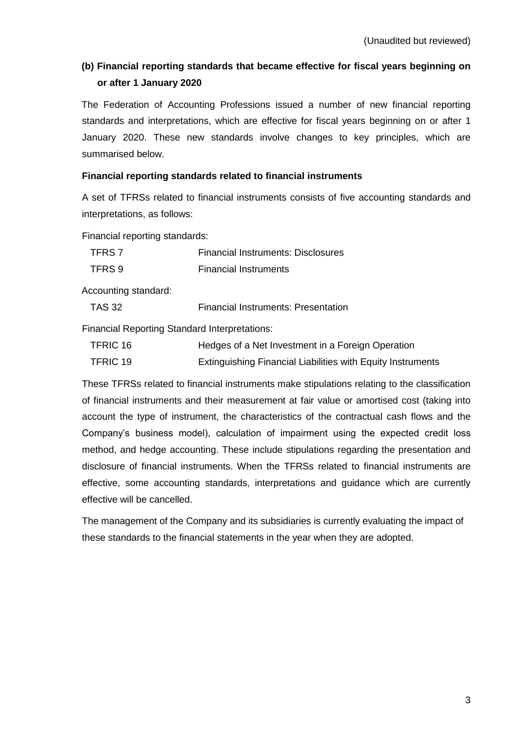# **(b) Financial reporting standards that became effective for fiscal years beginning on or after 1 January 2020**

The Federation of Accounting Professions issued a number of new financial reporting standards and interpretations, which are effective for fiscal years beginning on or after 1 January 2020. These new standards involve changes to key principles, which are summarised below.

### **Financial reporting standards related to financial instruments**

A set of TFRSs related to financial instruments consists of five accounting standards and interpretations, as follows:

Financial reporting standards:

| TFRS 7 | <b>Financial Instruments: Disclosures</b> |
|--------|-------------------------------------------|
| TFRS 9 | <b>Financial Instruments</b>              |

Accounting standard:

| <b>TAS 32</b> | <b>Financial Instruments: Presentation</b> |
|---------------|--------------------------------------------|
|               |                                            |

Financial Reporting Standard Interpretations:

| TFRIC 16 | Hedges of a Net Investment in a Foreign Operation           |
|----------|-------------------------------------------------------------|
| TFRIC 19 | Extinguishing Financial Liabilities with Equity Instruments |

These TFRSs related to financial instruments make stipulations relating to the classification of financial instruments and their measurement at fair value or amortised cost (taking into account the type of instrument, the characteristics of the contractual cash flows and the Company's business model), calculation of impairment using the expected credit loss method, and hedge accounting. These include stipulations regarding the presentation and disclosure of financial instruments. When the TFRSs related to financial instruments are effective, some accounting standards, interpretations and guidance which are currently effective will be cancelled.

The management of the Company and its subsidiaries is currently evaluating the impact of these standards to the financial statements in the year when they are adopted.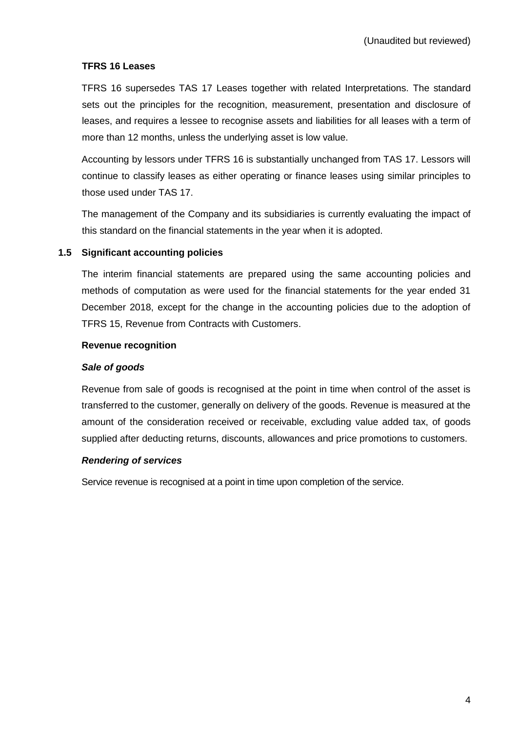# **TFRS 16 Leases**

TFRS 16 supersedes TAS 17 Leases together with related Interpretations. The standard sets out the principles for the recognition, measurement, presentation and disclosure of leases, and requires a lessee to recognise assets and liabilities for all leases with a term of more than 12 months, unless the underlying asset is low value.

Accounting by lessors under TFRS 16 is substantially unchanged from TAS 17. Lessors will continue to classify leases as either operating or finance leases using similar principles to those used under TAS 17.

The management of the Company and its subsidiaries is currently evaluating the impact of this standard on the financial statements in the year when it is adopted.

#### **1.5 Significant accounting policies**

The interim financial statements are prepared using the same accounting policies and methods of computation as were used for the financial statements for the year ended 31 December 2018, except for the change in the accounting policies due to the adoption of TFRS 15, Revenue from Contracts with Customers.

#### **Revenue recognition**

#### *Sale of goods*

Revenue from sale of goods is recognised at the point in time when control of the asset is transferred to the customer, generally on delivery of the goods. Revenue is measured at the amount of the consideration received or receivable, excluding value added tax, of goods supplied after deducting returns, discounts, allowances and price promotions to customers.

#### *Rendering of services*

Service revenue is recognised at a point in time upon completion of the service.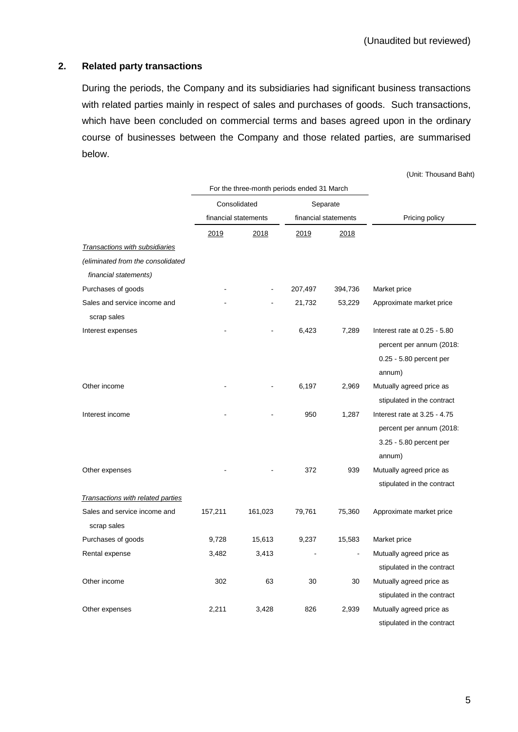# **2. Related party transactions**

During the periods, the Company and its subsidiaries had significant business transactions with related parties mainly in respect of sales and purchases of goods. Such transactions, which have been concluded on commercial terms and bases agreed upon in the ordinary course of businesses between the Company and those related parties, are summarised below.

(Unit: Thousand Baht)

|                                   | For the three-month periods ended 31 March |         |         |                      |                              |
|-----------------------------------|--------------------------------------------|---------|---------|----------------------|------------------------------|
|                                   | Consolidated                               |         |         | Separate             |                              |
|                                   | financial statements                       |         |         | financial statements | Pricing policy               |
|                                   | 2019                                       | 2018    | 2019    | 2018                 |                              |
| Transactions with subsidiaries    |                                            |         |         |                      |                              |
| (eliminated from the consolidated |                                            |         |         |                      |                              |
| financial statements)             |                                            |         |         |                      |                              |
| Purchases of goods                |                                            |         | 207,497 | 394,736              | Market price                 |
| Sales and service income and      |                                            |         | 21,732  | 53,229               | Approximate market price     |
| scrap sales                       |                                            |         |         |                      |                              |
| Interest expenses                 |                                            |         | 6,423   | 7,289                | Interest rate at 0.25 - 5.80 |
|                                   |                                            |         |         |                      | percent per annum (2018:     |
|                                   |                                            |         |         |                      | 0.25 - 5.80 percent per      |
|                                   |                                            |         |         |                      | annum)                       |
| Other income                      |                                            |         | 6,197   | 2,969                | Mutually agreed price as     |
|                                   |                                            |         |         |                      | stipulated in the contract   |
| Interest income                   |                                            |         | 950     | 1,287                | Interest rate at 3.25 - 4.75 |
|                                   |                                            |         |         |                      | percent per annum (2018:     |
|                                   |                                            |         |         |                      | 3.25 - 5.80 percent per      |
|                                   |                                            |         |         |                      | annum)                       |
| Other expenses                    |                                            |         | 372     | 939                  | Mutually agreed price as     |
|                                   |                                            |         |         |                      | stipulated in the contract   |
| Transactions with related parties |                                            |         |         |                      |                              |
| Sales and service income and      | 157,211                                    | 161,023 | 79,761  | 75,360               | Approximate market price     |
| scrap sales                       |                                            |         |         |                      |                              |
| Purchases of goods                | 9,728                                      | 15,613  | 9,237   | 15,583               | Market price                 |
| Rental expense                    | 3,482                                      | 3,413   |         | $\overline{a}$       | Mutually agreed price as     |
|                                   |                                            |         |         |                      | stipulated in the contract   |
| Other income                      | 302                                        | 63      | 30      | 30                   | Mutually agreed price as     |
|                                   |                                            |         |         |                      | stipulated in the contract   |
| Other expenses                    | 2,211                                      | 3,428   | 826     | 2,939                | Mutually agreed price as     |
|                                   |                                            |         |         |                      | stipulated in the contract   |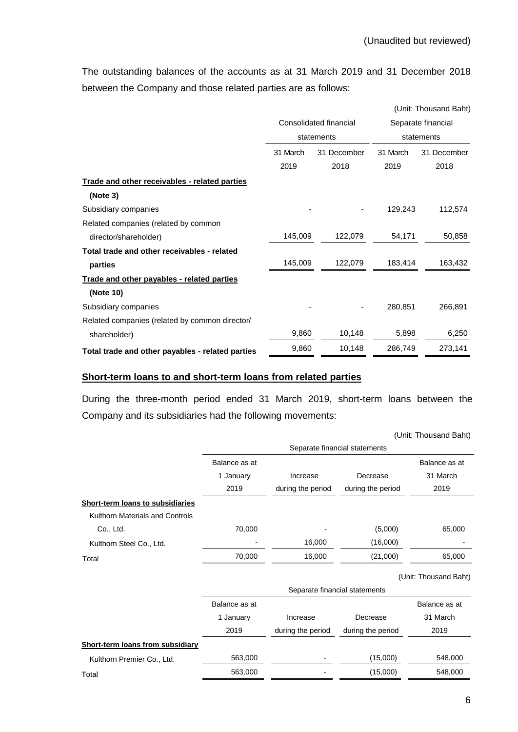The outstanding balances of the accounts as at 31 March 2019 and 31 December 2018 between the Company and those related parties are as follows:

|                                                  |                        |             | (Unit: Thousand Baht) |                    |  |
|--------------------------------------------------|------------------------|-------------|-----------------------|--------------------|--|
|                                                  | Consolidated financial |             |                       | Separate financial |  |
|                                                  |                        | statements  |                       | statements         |  |
|                                                  | 31 March               | 31 December | 31 March              | 31 December        |  |
|                                                  | 2019                   | 2018        | 2019                  | 2018               |  |
| Trade and other receivables - related parties    |                        |             |                       |                    |  |
| (Note 3)                                         |                        |             |                       |                    |  |
| Subsidiary companies                             |                        |             | 129,243               | 112,574            |  |
| Related companies (related by common             |                        |             |                       |                    |  |
| director/shareholder)                            | 145,009                | 122,079     | 54,171                | 50,858             |  |
| Total trade and other receivables - related      |                        |             |                       |                    |  |
| parties                                          | 145,009                | 122,079     | 183,414               | 163,432            |  |
| Trade and other payables - related parties       |                        |             |                       |                    |  |
| (Note 10)                                        |                        |             |                       |                    |  |
| Subsidiary companies                             |                        |             | 280,851               | 266,891            |  |
| Related companies (related by common director/   |                        |             |                       |                    |  |
| shareholder)                                     | 9,860                  | 10,148      | 5,898                 | 6,250              |  |
| Total trade and other payables - related parties | 9,860                  | 10,148      | 286,749               | 273,141            |  |

# **Short-term loans to and short-term loans from related parties**

During the three-month period ended 31 March 2019, short-term loans between the Company and its subsidiaries had the following movements:

|                                         |               |                               |                               | (Unit: Thousand Baht) |
|-----------------------------------------|---------------|-------------------------------|-------------------------------|-----------------------|
|                                         |               |                               | Separate financial statements |                       |
|                                         | Balance as at |                               |                               | Balance as at         |
|                                         | 1 January     | Increase                      | Decrease                      | 31 March              |
|                                         | 2019          | during the period             | during the period             | 2019                  |
| <b>Short-term loans to subsidiaries</b> |               |                               |                               |                       |
| Kulthorn Materials and Controls         |               |                               |                               |                       |
| Co., Ltd.                               | 70,000        |                               | (5,000)                       | 65,000                |
| Kulthorn Steel Co., Ltd.                |               | 16,000                        | (16,000)                      |                       |
| Total                                   | 70,000        | 16,000                        | (21,000)                      | 65,000                |
|                                         |               |                               |                               | (Unit: Thousand Baht) |
|                                         |               | Separate financial statements |                               |                       |
|                                         | Balance as at |                               |                               | Balance as at         |
|                                         | 1 January     | Increase                      | Decrease                      | 31 March              |
|                                         | 2019          | during the period             | during the period             | 2019                  |
| Short-term loans from subsidiary        |               |                               |                               |                       |
| Kulthorn Premier Co., Ltd.              | 563,000       |                               | (15,000)                      | 548,000               |
| Total                                   | 563,000       |                               | (15,000)                      | 548,000               |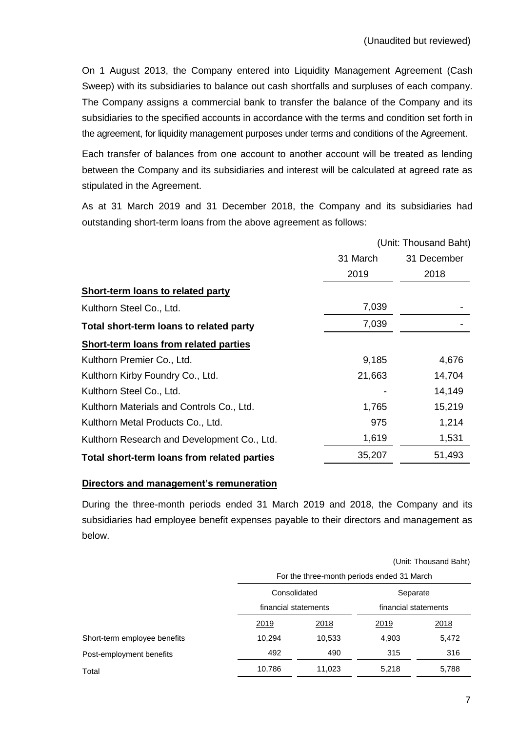On 1 August 2013, the Company entered into Liquidity Management Agreement (Cash Sweep) with its subsidiaries to balance out cash shortfalls and surpluses of each company. The Company assigns a commercial bank to transfer the balance of the Company and its subsidiaries to the specified accounts in accordance with the terms and condition set forth in the agreement, for liquidity management purposes under terms and conditions of the Agreement.

Each transfer of balances from one account to another account will be treated as lending between the Company and its subsidiaries and interest will be calculated at agreed rate as stipulated in the Agreement.

As at 31 March 2019 and 31 December 2018, the Company and its subsidiaries had outstanding short-term loans from the above agreement as follows:

|                                             | (Unit: Thousand Baht) |             |  |
|---------------------------------------------|-----------------------|-------------|--|
|                                             | 31 March              | 31 December |  |
|                                             | 2019                  | 2018        |  |
| Short-term loans to related party           |                       |             |  |
| Kulthorn Steel Co., Ltd.                    | 7,039                 |             |  |
| Total short-term loans to related party     | 7,039                 |             |  |
| Short-term loans from related parties       |                       |             |  |
| Kulthorn Premier Co., Ltd.                  | 9,185                 | 4,676       |  |
| Kulthorn Kirby Foundry Co., Ltd.            | 21,663                | 14,704      |  |
| Kulthorn Steel Co., Ltd.                    |                       | 14,149      |  |
| Kulthorn Materials and Controls Co., Ltd.   | 1,765                 | 15,219      |  |
| Kulthorn Metal Products Co., Ltd.           | 975                   | 1,214       |  |
| Kulthorn Research and Development Co., Ltd. | 1,619                 | 1,531       |  |
| Total short-term loans from related parties | 35,207                | 51,493      |  |

### **Directors and management's remuneration**

During the three-month periods ended 31 March 2019 and 2018, the Company and its subsidiaries had employee benefit expenses payable to their directors and management as below.

|                              |              | (Unit: Thousand Baht)                      |          |                      |  |  |  |
|------------------------------|--------------|--------------------------------------------|----------|----------------------|--|--|--|
|                              |              | For the three-month periods ended 31 March |          |                      |  |  |  |
|                              | Consolidated |                                            | Separate |                      |  |  |  |
|                              |              | financial statements                       |          | financial statements |  |  |  |
|                              | 2019         | 2018                                       | 2019     | 2018                 |  |  |  |
| Short-term employee benefits | 10,294       | 10,533                                     | 4,903    | 5,472                |  |  |  |
| Post-employment benefits     | 492          | 490                                        | 315      | 316                  |  |  |  |
| Total                        | 10,786       | 11,023                                     | 5,218    | 5,788                |  |  |  |
|                              |              |                                            |          |                      |  |  |  |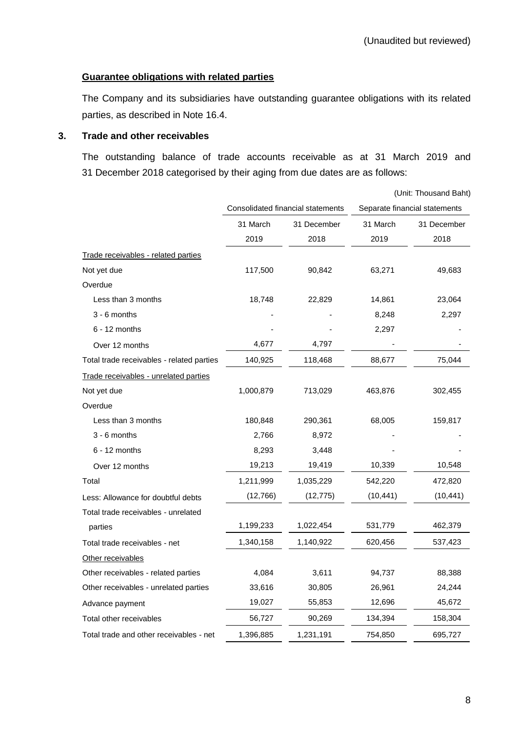# **Guarantee obligations with related parties**

The Company and its subsidiaries have outstanding guarantee obligations with its related parties, as described in Note 16.4.

#### **3. Trade and other receivables**

The outstanding balance of trade accounts receivable as at 31 March 2019 and 31 December 2018 categorised by their aging from due dates are as follows:

|                                           |           |                                   |           | (Unit: Thousand Baht)         |
|-------------------------------------------|-----------|-----------------------------------|-----------|-------------------------------|
|                                           |           | Consolidated financial statements |           | Separate financial statements |
|                                           | 31 March  | 31 December                       | 31 March  | 31 December                   |
|                                           | 2019      | 2018                              | 2019      | 2018                          |
| Trade receivables - related parties       |           |                                   |           |                               |
| Not yet due                               | 117,500   | 90,842                            | 63,271    | 49,683                        |
| Overdue                                   |           |                                   |           |                               |
| Less than 3 months                        | 18,748    | 22,829                            | 14,861    | 23,064                        |
| $3 - 6$ months                            |           |                                   | 8,248     | 2,297                         |
| $6 - 12$ months                           |           |                                   | 2,297     |                               |
| Over 12 months                            | 4,677     | 4,797                             |           |                               |
| Total trade receivables - related parties | 140,925   | 118,468                           | 88,677    | 75,044                        |
| Trade receivables - unrelated parties     |           |                                   |           |                               |
| Not yet due                               | 1,000,879 | 713,029                           | 463,876   | 302,455                       |
| Overdue                                   |           |                                   |           |                               |
| Less than 3 months                        | 180,848   | 290,361                           | 68,005    | 159,817                       |
| 3 - 6 months                              | 2,766     | 8,972                             |           |                               |
| $6 - 12$ months                           | 8,293     | 3,448                             |           |                               |
| Over 12 months                            | 19,213    | 19,419                            | 10,339    | 10,548                        |
| Total                                     | 1,211,999 | 1,035,229                         | 542,220   | 472,820                       |
| Less: Allowance for doubtful debts        | (12,766)  | (12,775)                          | (10, 441) | (10, 441)                     |
| Total trade receivables - unrelated       |           |                                   |           |                               |
| parties                                   | 1,199,233 | 1,022,454                         | 531,779   | 462,379                       |
| Total trade receivables - net             | 1,340,158 | 1,140,922                         | 620,456   | 537,423                       |
| Other receivables                         |           |                                   |           |                               |
| Other receivables - related parties       | 4,084     | 3,611                             | 94,737    | 88,388                        |
| Other receivables - unrelated parties     | 33,616    | 30,805                            | 26,961    | 24,244                        |
| Advance payment                           | 19,027    | 55,853                            | 12,696    | 45,672                        |
| Total other receivables                   | 56,727    | 90,269                            | 134,394   | 158,304                       |
| Total trade and other receivables - net   | 1,396,885 | 1,231,191                         | 754,850   | 695,727                       |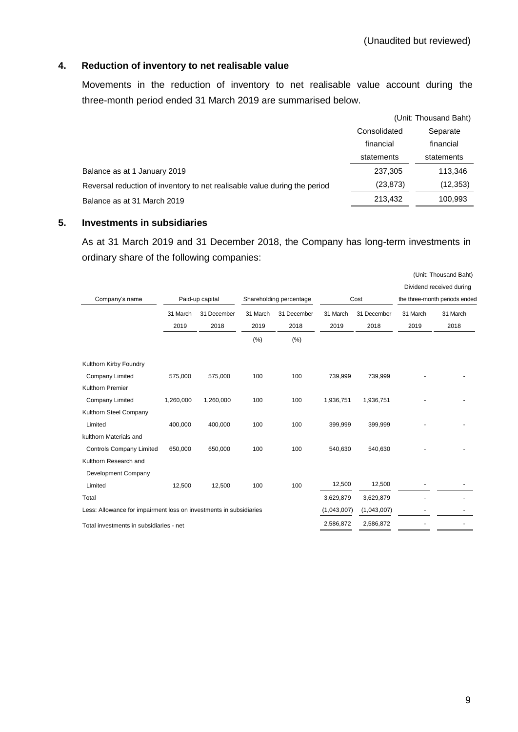### **4. Reduction of inventory to net realisable value**

Movements in the reduction of inventory to net realisable value account during the three-month period ended 31 March 2019 are summarised below.

|                                                                           |              | (Unit: Thousand Baht) |
|---------------------------------------------------------------------------|--------------|-----------------------|
|                                                                           | Consolidated | Separate              |
|                                                                           | financial    | financial             |
|                                                                           | statements   | statements            |
| Balance as at 1 January 2019                                              | 237,305      | 113,346               |
| Reversal reduction of inventory to net realisable value during the period | (23, 873)    | (12, 353)             |
| Balance as at 31 March 2019                                               | 213.432      | 100.993               |

#### **5. Investments in subsidiaries**

As at 31 March 2019 and 31 December 2018, the Company has long-term investments in ordinary share of the following companies:

|                                                                    |                  |                     |                  |                         |                  |                     |                               | (Unit: Thousand Baht)<br>Dividend received during |
|--------------------------------------------------------------------|------------------|---------------------|------------------|-------------------------|------------------|---------------------|-------------------------------|---------------------------------------------------|
| Company's name                                                     |                  | Paid-up capital     |                  | Shareholding percentage |                  | Cost                | the three-month periods endec |                                                   |
|                                                                    | 31 March<br>2019 | 31 December<br>2018 | 31 March<br>2019 | 31 December<br>2018     | 31 March<br>2019 | 31 December<br>2018 | 31 March<br>2019              | 31 March<br>2018                                  |
|                                                                    |                  |                     | (%)              | (% )                    |                  |                     |                               |                                                   |
| Kulthorn Kirby Foundry                                             |                  |                     |                  |                         |                  |                     |                               |                                                   |
| Company Limited                                                    | 575,000          | 575,000             | 100              | 100                     | 739,999          | 739,999             |                               |                                                   |
| Kulthorn Premier                                                   |                  |                     |                  |                         |                  |                     |                               |                                                   |
| Company Limited                                                    | 1,260,000        | 1,260,000           | 100              | 100                     | 1,936,751        | 1,936,751           |                               |                                                   |
| Kulthorn Steel Company                                             |                  |                     |                  |                         |                  |                     |                               |                                                   |
| Limited                                                            | 400,000          | 400,000             | 100              | 100                     | 399,999          | 399,999             |                               |                                                   |
| kulthorn Materials and                                             |                  |                     |                  |                         |                  |                     |                               |                                                   |
| <b>Controls Company Limited</b>                                    | 650,000          | 650,000             | 100              | 100                     | 540,630          | 540,630             |                               |                                                   |
| Kulthorn Research and                                              |                  |                     |                  |                         |                  |                     |                               |                                                   |
| Development Company                                                |                  |                     |                  |                         |                  |                     |                               |                                                   |
| Limited                                                            | 12,500           | 12,500              | 100              | 100                     | 12,500           | 12,500              |                               |                                                   |
| Total                                                              |                  |                     |                  |                         | 3,629,879        | 3,629,879           |                               |                                                   |
| Less: Allowance for impairment loss on investments in subsidiaries |                  |                     |                  |                         | (1,043,007)      | (1,043,007)         |                               |                                                   |
| Total investments in subsidiaries - net                            |                  |                     |                  |                         | 2,586,872        | 2,586,872           |                               |                                                   |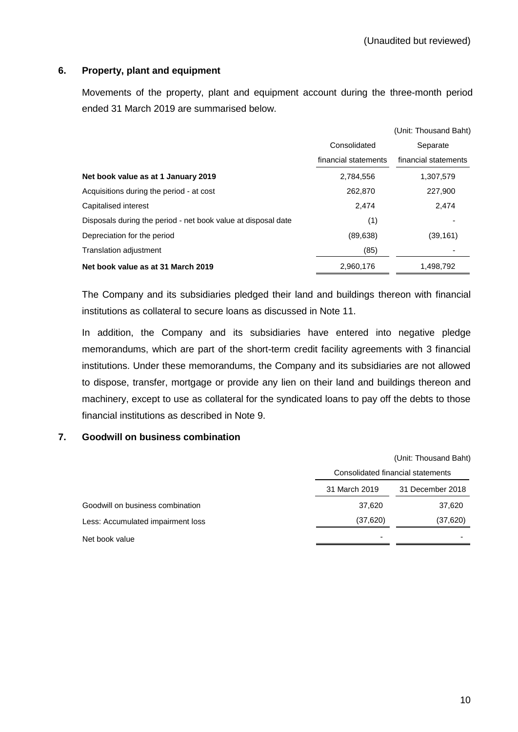# **6. Property, plant and equipment**

Movements of the property, plant and equipment account during the three-month period ended 31 March 2019 are summarised below.

|                                                               |                      | (Unit: Thousand Baht) |
|---------------------------------------------------------------|----------------------|-----------------------|
|                                                               | Consolidated         | Separate              |
|                                                               | financial statements | financial statements  |
| Net book value as at 1 January 2019                           | 2,784,556            | 1,307,579             |
| Acquisitions during the period - at cost                      | 262,870              | 227,900               |
| Capitalised interest                                          | 2,474                | 2,474                 |
| Disposals during the period - net book value at disposal date | (1)                  |                       |
| Depreciation for the period                                   | (89, 638)            | (39, 161)             |
| <b>Translation adjustment</b>                                 | (85)                 |                       |
| Net book value as at 31 March 2019                            | 2.960.176            | 1,498,792             |

The Company and its subsidiaries pledged their land and buildings thereon with financial institutions as collateral to secure loans as discussed in Note 11.

In addition, the Company and its subsidiaries have entered into negative pledge memorandums, which are part of the short-term credit facility agreements with 3 financial institutions. Under these memorandums, the Company and its subsidiaries are not allowed to dispose, transfer, mortgage or provide any lien on their land and buildings thereon and machinery, except to use as collateral for the syndicated loans to pay off the debts to those financial institutions as described in Note 9.

#### **7. Goodwill on business combination**

|                                   | (Unit: Thousand Baht) |                                   |  |  |  |
|-----------------------------------|-----------------------|-----------------------------------|--|--|--|
|                                   |                       | Consolidated financial statements |  |  |  |
|                                   | 31 March 2019         | 31 December 2018                  |  |  |  |
| Goodwill on business combination  | 37,620                | 37,620                            |  |  |  |
| Less: Accumulated impairment loss | (37, 620)             | (37, 620)                         |  |  |  |
| Net book value                    | -                     |                                   |  |  |  |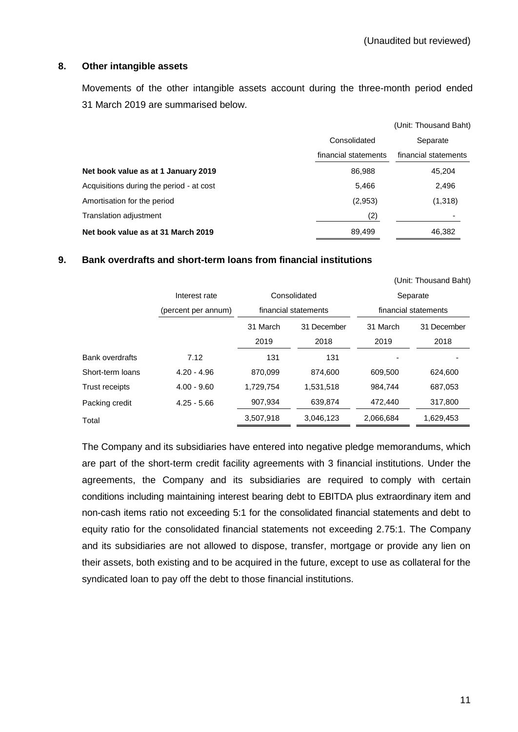#### **8. Other intangible assets**

Movements of the other intangible assets account during the three-month period ended 31 March 2019 are summarised below.

|                                          |                      | (Unit: Thousand Baht) |
|------------------------------------------|----------------------|-----------------------|
|                                          | Consolidated         | Separate              |
|                                          | financial statements | financial statements  |
| Net book value as at 1 January 2019      | 86,988               | 45,204                |
| Acquisitions during the period - at cost | 5,466                | 2,496                 |
| Amortisation for the period              | (2,953)              | (1,318)               |
| Translation adjustment                   | (2)                  |                       |
| Net book value as at 31 March 2019       | 89,499               | 46,382                |

#### **9. Bank overdrafts and short-term loans from financial institutions**

|                        |                     |           |                      |           | (Unit: Thousand Baht) |  |
|------------------------|---------------------|-----------|----------------------|-----------|-----------------------|--|
|                        | Interest rate       |           | Consolidated         | Separate  |                       |  |
|                        | (percent per annum) |           | financial statements |           | financial statements  |  |
|                        |                     | 31 March  | 31 December          | 31 March  | 31 December           |  |
|                        |                     | 2019      | 2018                 | 2019      | 2018                  |  |
| <b>Bank overdrafts</b> | 7.12                | 131       | 131                  |           |                       |  |
| Short-term loans       | $4.20 - 4.96$       | 870,099   | 874.600              | 609,500   | 624,600               |  |
| <b>Trust receipts</b>  | $4.00 - 9.60$       | 1,729,754 | 1,531,518            | 984,744   | 687,053               |  |
| Packing credit         | $4.25 - 5.66$       | 907,934   | 639,874              | 472,440   | 317,800               |  |
| Total                  |                     | 3,507,918 | 3,046,123            | 2,066,684 | 1,629,453             |  |

The Company and its subsidiaries have entered into negative pledge memorandums, which are part of the short-term credit facility agreements with 3 financial institutions. Under the agreements, the Company and its subsidiaries are required to comply with certain conditions including maintaining interest bearing debt to EBITDA plus extraordinary item and non-cash items ratio not exceeding 5:1 for the consolidated financial statements and debt to equity ratio for the consolidated financial statements not exceeding 2.75:1. The Company and its subsidiaries are not allowed to dispose, transfer, mortgage or provide any lien on their assets, both existing and to be acquired in the future, except to use as collateral for the syndicated loan to pay off the debt to those financial institutions.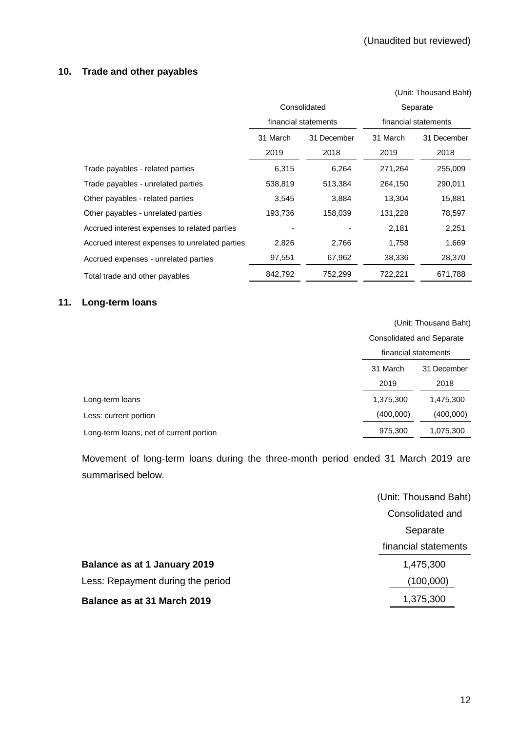# **10. Trade and other payables**

|                                                |          |                      |          | (Unit: Thousand Baht) |  |  |
|------------------------------------------------|----------|----------------------|----------|-----------------------|--|--|
|                                                |          | Consolidated         | Separate |                       |  |  |
|                                                |          | financial statements |          | financial statements  |  |  |
|                                                | 31 March | 31 December          | 31 March | 31 December           |  |  |
|                                                | 2019     | 2018                 | 2019     | 2018                  |  |  |
| Trade payables - related parties               | 6,315    | 6,264                | 271,264  | 255,009               |  |  |
| Trade payables - unrelated parties             | 538,819  | 513,384              | 264,150  | 290,011               |  |  |
| Other payables - related parties               | 3,545    | 3,884                | 13,304   | 15,881                |  |  |
| Other payables - unrelated parties             | 193,736  | 158,039              | 131,228  | 78,597                |  |  |
| Accrued interest expenses to related parties   |          |                      | 2,181    | 2,251                 |  |  |
| Accrued interest expenses to unrelated parties | 2,826    | 2,766                | 1,758    | 1,669                 |  |  |
| Accrued expenses - unrelated parties           | 97,551   | 67,962               | 38,336   | 28,370                |  |  |
| Total trade and other payables                 | 842,792  | 752,299              | 722,221  | 671,788               |  |  |

# **11. Long-term loans**

|                                         | (Unit: Thousand Baht)                                    |             |  |
|-----------------------------------------|----------------------------------------------------------|-------------|--|
|                                         | <b>Consolidated and Separate</b><br>financial statements |             |  |
|                                         |                                                          |             |  |
|                                         | 31 March                                                 | 31 December |  |
|                                         | 2019                                                     | 2018        |  |
| Long-term loans                         | 1,375,300                                                | 1,475,300   |  |
| Less: current portion                   | (400,000)                                                | (400,000)   |  |
| Long-term loans, net of current portion | 975,300                                                  | 1,075,300   |  |

Movement of long-term loans during the three-month period ended 31 March 2019 are summarised below.

|                                   | (Unit: Thousand Baht) |
|-----------------------------------|-----------------------|
|                                   | Consolidated and      |
|                                   | Separate              |
|                                   | financial statements  |
| Balance as at 1 January 2019      | 1,475,300             |
| Less: Repayment during the period | (100,000)             |
| Balance as at 31 March 2019       | 1,375,300             |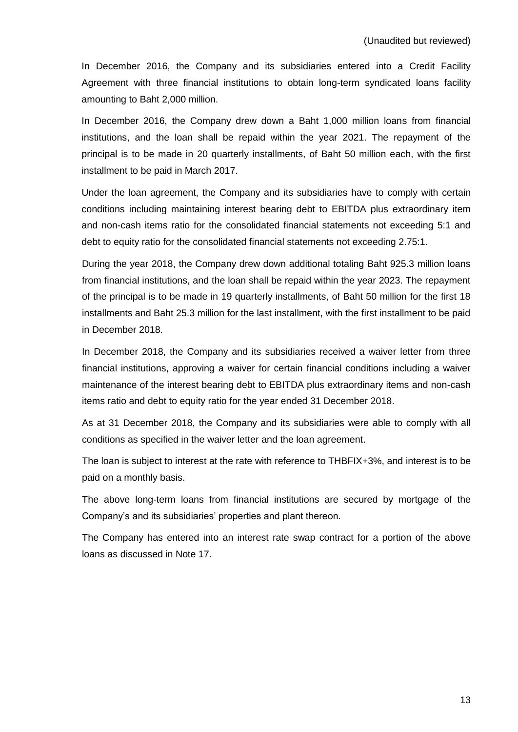In December 2016, the Company and its subsidiaries entered into a Credit Facility Agreement with three financial institutions to obtain long-term syndicated loans facility amounting to Baht 2,000 million.

In December 2016, the Company drew down a Baht 1,000 million loans from financial institutions, and the loan shall be repaid within the year 2021. The repayment of the principal is to be made in 20 quarterly installments, of Baht 50 million each, with the first installment to be paid in March 2017.

Under the loan agreement, the Company and its subsidiaries have to comply with certain conditions including maintaining interest bearing debt to EBITDA plus extraordinary item and non-cash items ratio for the consolidated financial statements not exceeding 5:1 and debt to equity ratio for the consolidated financial statements not exceeding 2.75:1.

During the year 2018, the Company drew down additional totaling Baht 925.3 million loans from financial institutions, and the loan shall be repaid within the year 2023. The repayment of the principal is to be made in 19 quarterly installments, of Baht 50 million for the first 18 installments and Baht 25.3 million for the last installment, with the first installment to be paid in December 2018.

In December 2018, the Company and its subsidiaries received a waiver letter from three financial institutions, approving a waiver for certain financial conditions including a waiver maintenance of the interest bearing debt to EBITDA plus extraordinary items and non-cash items ratio and debt to equity ratio for the year ended 31 December 2018.

As at 31 December 2018, the Company and its subsidiaries were able to comply with all conditions as specified in the waiver letter and the loan agreement.

The loan is subject to interest at the rate with reference to THBFIX+3%, and interest is to be paid on a monthly basis.

The above long-term loans from financial institutions are secured by mortgage of the Company's and its subsidiaries' properties and plant thereon.

The Company has entered into an interest rate swap contract for a portion of the above loans as discussed in Note 17.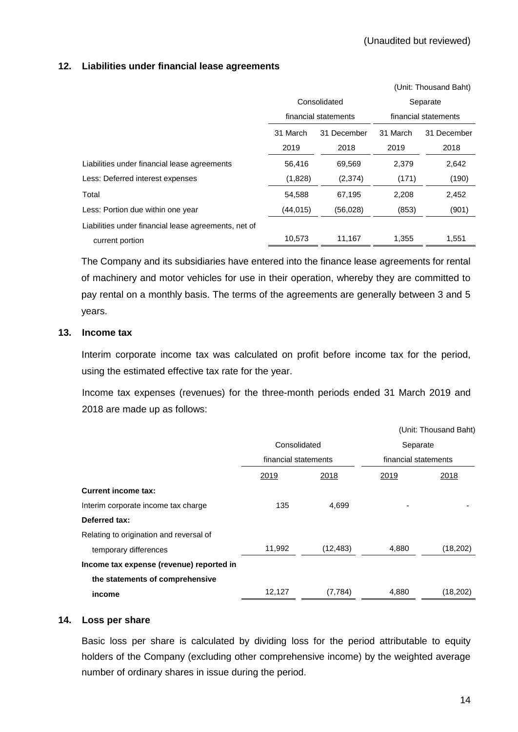### **12. Liabilities under financial lease agreements**

|                                                      |                         |                      |                      | (Unit: Thousand Baht) |  |
|------------------------------------------------------|-------------------------|----------------------|----------------------|-----------------------|--|
|                                                      | Consolidated            |                      | Separate             |                       |  |
|                                                      |                         | financial statements | financial statements |                       |  |
|                                                      | 31 March<br>31 December |                      | 31 March             | 31 December           |  |
|                                                      | 2019                    | 2018                 | 2019                 | 2018                  |  |
| Liabilities under financial lease agreements         | 56,416                  | 69,569               | 2,379                | 2,642                 |  |
| Less: Deferred interest expenses                     | (1,828)                 | (2,374)              | (171)                | (190)                 |  |
| Total                                                | 54,588                  | 67,195               | 2,208                | 2,452                 |  |
| Less: Portion due within one year                    | (44,015)                | (56,028)             | (853)                | (901)                 |  |
| Liabilities under financial lease agreements, net of |                         |                      |                      |                       |  |
| current portion                                      | 10,573                  | 11,167               | 1,355                | 1,551                 |  |

The Company and its subsidiaries have entered into the finance lease agreements for rental of machinery and motor vehicles for use in their operation, whereby they are committed to pay rental on a monthly basis. The terms of the agreements are generally between 3 and 5 years.

#### **13. Income tax**

Interim corporate income tax was calculated on profit before income tax for the period, using the estimated effective tax rate for the year.

Income tax expenses (revenues) for the three-month periods ended 31 March 2019 and 2018 are made up as follows:

|                                          |                      |           |                                  | (Unit: Thousand Baht) |  |
|------------------------------------------|----------------------|-----------|----------------------------------|-----------------------|--|
|                                          | Consolidated         |           | Separate<br>financial statements |                       |  |
|                                          | financial statements |           |                                  |                       |  |
|                                          | 2019                 | 2018      | 2019                             | 2018                  |  |
| <b>Current income tax:</b>               |                      |           |                                  |                       |  |
| Interim corporate income tax charge      | 135                  | 4,699     |                                  |                       |  |
| Deferred tax:                            |                      |           |                                  |                       |  |
| Relating to origination and reversal of  |                      |           |                                  |                       |  |
| temporary differences                    | 11,992               | (12, 483) | 4,880                            | (18,202)              |  |
| Income tax expense (revenue) reported in |                      |           |                                  |                       |  |
| the statements of comprehensive          |                      |           |                                  |                       |  |
| income                                   | 12,127               | (7, 784)  | 4,880                            | (18,202)              |  |

# **14. Loss per share**

Basic loss per share is calculated by dividing loss for the period attributable to equity holders of the Company (excluding other comprehensive income) by the weighted average number of ordinary shares in issue during the period.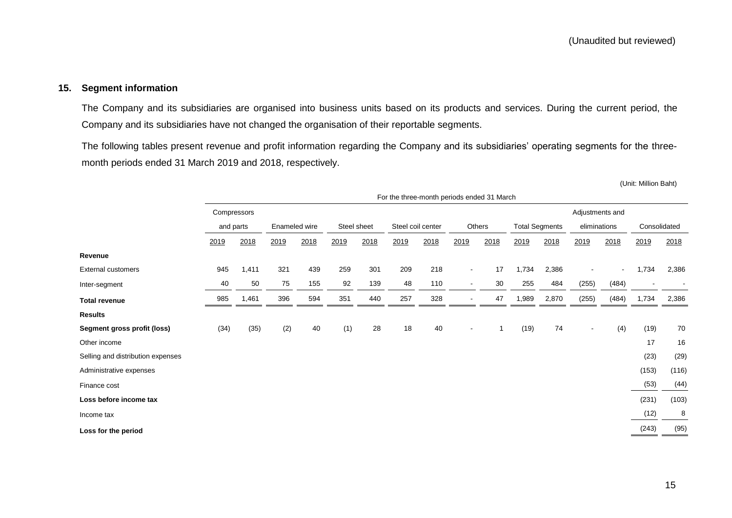#### **15. Segment information**

The Company and its subsidiaries are organised into business units based on its products and services. During the current period, the Company and its subsidiaries have not changed the organisation of their reportable segments.

The following tables present revenue and profit information regarding the Company and its subsidiaries' operating segments for the threemonth periods ended 31 March 2019 and 2018, respectively.

(Unit: Million Baht)

|                                   | For the three-month periods ended 31 March |       |                              |      |                   |      |        |      |                       |      |              |       |                |                |       |                          |
|-----------------------------------|--------------------------------------------|-------|------------------------------|------|-------------------|------|--------|------|-----------------------|------|--------------|-------|----------------|----------------|-------|--------------------------|
|                                   | Adjustments and<br>Compressors             |       |                              |      |                   |      |        |      |                       |      |              |       |                |                |       |                          |
|                                   | and parts                                  |       | Enameled wire<br>Steel sheet |      | Steel coil center |      | Others |      | <b>Total Segments</b> |      | eliminations |       | Consolidated   |                |       |                          |
|                                   | 2019                                       | 2018  | 2019                         | 2018 | 2019              | 2018 | 2019   | 2018 | 2019                  | 2018 | 2019         | 2018  | 2019           | 2018           | 2019  | 2018                     |
| Revenue                           |                                            |       |                              |      |                   |      |        |      |                       |      |              |       |                |                |       |                          |
| <b>External customers</b>         | 945                                        | 1,411 | 321                          | 439  | 259               | 301  | 209    | 218  | $\blacksquare$        | 17   | 1,734        | 2,386 |                | $\blacksquare$ | 1,734 | 2,386                    |
| Inter-segment                     | 40                                         | 50    | 75                           | 155  | 92                | 139  | 48     | 110  | $\blacksquare$        | 30   | 255          | 484   | (255)          | (484)          |       | $\overline{\phantom{a}}$ |
| <b>Total revenue</b>              | 985                                        | 1,461 | 396                          | 594  | 351               | 440  | 257    | 328  | $\blacksquare$        | 47   | 1,989        | 2,870 | (255)          | (484)          | 1,734 | 2,386                    |
| <b>Results</b>                    |                                            |       |                              |      |                   |      |        |      |                       |      |              |       |                |                |       |                          |
| Segment gross profit (loss)       | (34)                                       | (35)  | (2)                          | 40   | (1)               | 28   | 18     | 40   | $\sim$                | 1    | (19)         | 74    | $\blacksquare$ | (4)            | (19)  | 70                       |
| Other income                      |                                            |       |                              |      |                   |      |        |      |                       |      |              |       |                |                | 17    | 16                       |
| Selling and distribution expenses |                                            |       |                              |      |                   |      |        |      |                       |      |              |       |                |                | (23)  | (29)                     |
| Administrative expenses           |                                            |       |                              |      |                   |      |        |      |                       |      |              |       |                |                | (153) | (116)                    |
| Finance cost                      |                                            |       |                              |      |                   |      |        |      |                       |      |              |       |                |                | (53)  | (44)                     |
| Loss before income tax            |                                            |       |                              |      |                   |      |        |      |                       |      |              |       |                |                | (231) | (103)                    |
| Income tax                        |                                            |       |                              |      |                   |      |        |      |                       |      |              |       |                |                | (12)  | 8                        |
| Loss for the period               |                                            |       |                              |      |                   |      |        |      |                       |      |              |       |                |                | (243) | (95)                     |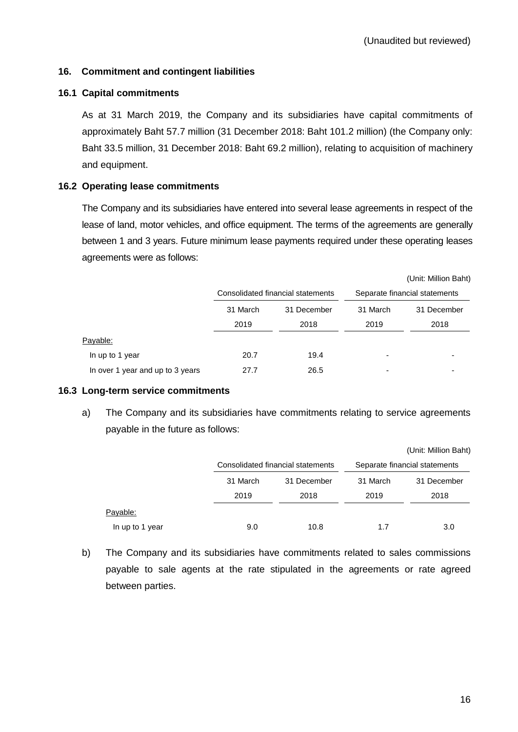### **16. Commitment and contingent liabilities**

#### **16.1 Capital commitments**

As at 31 March 2019, the Company and its subsidiaries have capital commitments of approximately Baht 57.7 million (31 December 2018: Baht 101.2 million) (the Company only: Baht 33.5 million, 31 December 2018: Baht 69.2 million), relating to acquisition of machinery and equipment.

# **16.2 Operating lease commitments**

The Company and its subsidiaries have entered into several lease agreements in respect of the lease of land, motor vehicles, and office equipment. The terms of the agreements are generally between 1 and 3 years. Future minimum lease payments required under these operating leases agreements were as follows:

|                                  |          |                                   |                               | (Unit: Million Baht) |  |
|----------------------------------|----------|-----------------------------------|-------------------------------|----------------------|--|
|                                  |          | Consolidated financial statements | Separate financial statements |                      |  |
|                                  | 31 March | 31 December                       | 31 March                      | 31 December          |  |
|                                  | 2019     | 2018                              | 2019                          | 2018                 |  |
| Payable:                         |          |                                   |                               |                      |  |
| In up to 1 year                  | 20.7     | 19.4                              |                               |                      |  |
| In over 1 year and up to 3 years | 27.7     | 26.5                              |                               |                      |  |

#### **16.3 Long-term service commitments**

a) The Company and its subsidiaries have commitments relating to service agreements payable in the future as follows:

|                 |          |                                   |          | (Unit: Million Baht)          |
|-----------------|----------|-----------------------------------|----------|-------------------------------|
|                 |          | Consolidated financial statements |          | Separate financial statements |
|                 | 31 March | 31 December                       | 31 March | 31 December                   |
|                 | 2019     | 2018                              | 2019     | 2018                          |
| Payable:        |          |                                   |          |                               |
| In up to 1 year | 9.0      | 10.8                              | 1.7      | 3.0                           |

b) The Company and its subsidiaries have commitments related to sales commissions payable to sale agents at the rate stipulated in the agreements or rate agreed between parties.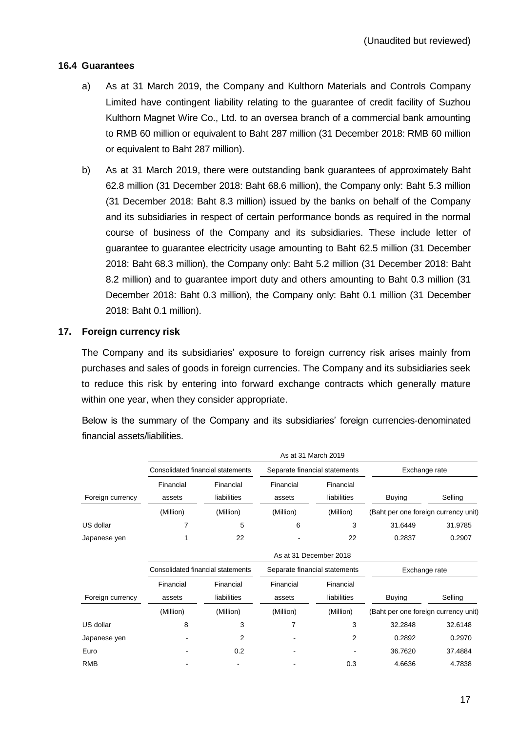# **16.4 Guarantees**

- a) As at 31 March 2019, the Company and Kulthorn Materials and Controls Company Limited have contingent liability relating to the guarantee of credit facility of Suzhou Kulthorn Magnet Wire Co., Ltd. to an oversea branch of a commercial bank amounting to RMB 60 million or equivalent to Baht 287 million (31 December 2018: RMB 60 million or equivalent to Baht 287 million).
- b) As at 31 March 2019, there were outstanding bank guarantees of approximately Baht 62.8 million (31 December 2018: Baht 68.6 million), the Company only: Baht 5.3 million (31 December 2018: Baht 8.3 million) issued by the banks on behalf of the Company and its subsidiaries in respect of certain performance bonds as required in the normal course of business of the Company and its subsidiaries. These include letter of guarantee to guarantee electricity usage amounting to Baht 62.5 million (31 December 2018: Baht 68.3 million), the Company only: Baht 5.2 million (31 December 2018: Baht 8.2 million) and to guarantee import duty and others amounting to Baht 0.3 million (31 December 2018: Baht 0.3 million), the Company only: Baht 0.1 million (31 December 2018: Baht 0.1 million).

# **17. Foreign currency risk**

The Company and its subsidiaries' exposure to foreign currency risk arises mainly from purchases and sales of goods in foreign currencies. The Company and its subsidiaries seek to reduce this risk by entering into forward exchange contracts which generally mature within one year, when they consider appropriate.

Below is the summary of the Company and its subsidiaries' foreign currencies-denominated financial assets/liabilities.

|                  |                                   |                                   |           | As at 31 March 2019           |                                      |         |  |
|------------------|-----------------------------------|-----------------------------------|-----------|-------------------------------|--------------------------------------|---------|--|
|                  |                                   | Consolidated financial statements |           | Separate financial statements | Exchange rate                        |         |  |
|                  | Financial                         | Financial                         | Financial | Financial                     |                                      |         |  |
| Foreign currency | assets                            | liabilities                       | assets    | liabilities                   | <b>Buying</b>                        | Selling |  |
|                  | (Million)                         | (Million)                         | (Million) | (Million)                     | (Baht per one foreign currency unit) |         |  |
| US dollar        | 7                                 | 5                                 | 6         | 3                             | 31.6449                              | 31.9785 |  |
| Japanese yen     |                                   | 22                                |           | 22                            | 0.2837                               | 0.2907  |  |
|                  |                                   |                                   |           | As at 31 December 2018        |                                      |         |  |
|                  | Consolidated financial statements |                                   |           | Separate financial statements | Exchange rate                        |         |  |
|                  | Financial                         | Financial                         | Financial | Financial                     |                                      |         |  |
| Foreign currency | assets                            | liabilities                       | assets    | liabilities                   | <b>Buying</b>                        | Selling |  |
|                  | (Million)                         | (Million)                         | (Million) | (Million)                     | (Baht per one foreign currency unit) |         |  |
| US dollar        | 8                                 | 3                                 | 7         | 3                             | 32.2848                              | 32.6148 |  |
| Japanese yen     |                                   | 2                                 |           | 2                             | 0.2892                               | 0.2970  |  |
| Euro             |                                   | 0.2                               |           |                               | 36.7620                              | 37.4884 |  |
| RMB              |                                   |                                   |           | 0.3                           | 4.6636                               | 4.7838  |  |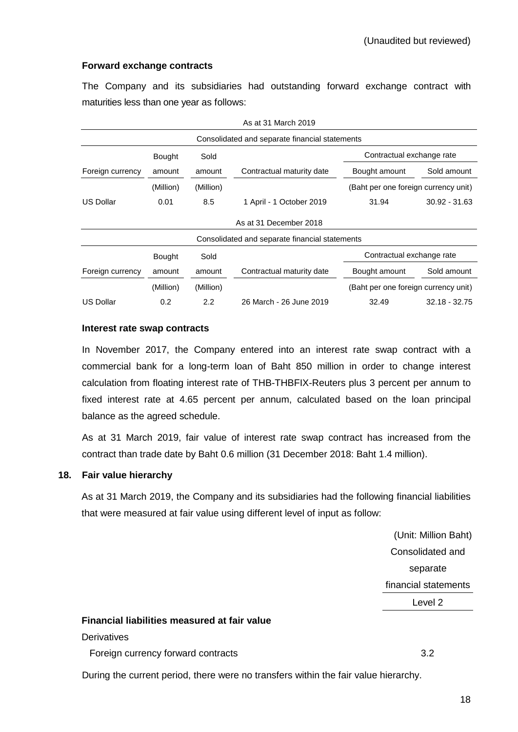#### **Forward exchange contracts**

The Company and its subsidiaries had outstanding forward exchange contract with maturities less than one year as follows:

| As at 31 March 2019                            |                                                    |           |                                                |                                      |                 |  |  |  |
|------------------------------------------------|----------------------------------------------------|-----------|------------------------------------------------|--------------------------------------|-----------------|--|--|--|
| Consolidated and separate financial statements |                                                    |           |                                                |                                      |                 |  |  |  |
|                                                | <b>Bought</b>                                      | Sold      |                                                | Contractual exchange rate            |                 |  |  |  |
| Foreign currency                               | amount                                             | amount    | Contractual maturity date                      | Bought amount                        | Sold amount     |  |  |  |
|                                                | (Million)                                          | (Million) |                                                | (Baht per one foreign currency unit) |                 |  |  |  |
| <b>US Dollar</b>                               | 0.01                                               | 8.5       | 1 April - 1 October 2019                       | 31.94                                | $30.92 - 31.63$ |  |  |  |
|                                                |                                                    |           | As at 31 December 2018                         |                                      |                 |  |  |  |
|                                                |                                                    |           | Consolidated and separate financial statements |                                      |                 |  |  |  |
|                                                | Contractual exchange rate<br>Sold<br><b>Bought</b> |           |                                                |                                      |                 |  |  |  |
| Foreign currency                               | amount                                             | amount    | Contractual maturity date                      | Bought amount                        | Sold amount     |  |  |  |
|                                                | (Million)                                          | (Million) |                                                | (Baht per one foreign currency unit) |                 |  |  |  |
| <b>US Dollar</b>                               | 0.2                                                | 2.2       | 26 March - 26 June 2019                        | 32.49                                | $32.18 - 32.75$ |  |  |  |

#### **Interest rate swap contracts**

In November 2017, the Company entered into an interest rate swap contract with a commercial bank for a long-term loan of Baht 850 million in order to change interest calculation from floating interest rate of THB-THBFIX-Reuters plus 3 percent per annum to fixed interest rate at 4.65 percent per annum, calculated based on the loan principal balance as the agreed schedule.

As at 31 March 2019, fair value of interest rate swap contract has increased from the contract than trade date by Baht 0.6 million (31 December 2018: Baht 1.4 million).

# **18. Fair value hierarchy**

As at 31 March 2019, the Company and its subsidiaries had the following financial liabilities that were measured at fair value using different level of input as follow:

> (Unit: Million Baht) Consolidated and separate financial statements Level 2

#### **Financial liabilities measured at fair value**

**Derivatives** 

Foreign currency forward contracts 3.2

During the current period, there were no transfers within the fair value hierarchy.